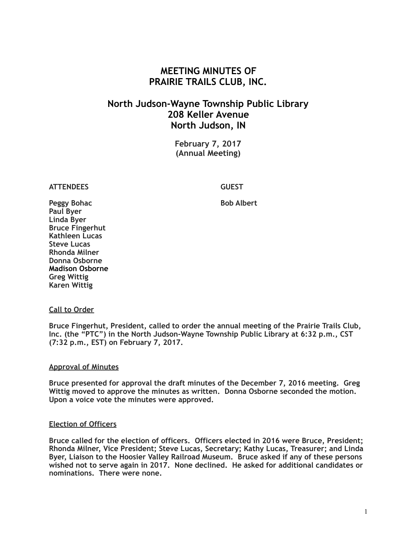# **MEETING MINUTES OF PRAIRIE TRAILS CLUB, INC.**

# **North Judson-Wayne Township Public Library 208 Keller Avenue North Judson, IN**

**February 7, 2017 (Annual Meeting)**

# **ATTENDEES GUEST**

**Peggy Bohac** Bob Albert **Paul Byer Linda Byer Bruce Fingerhut Kathleen Lucas Steve Lucas Rhonda Milner Donna Osborne Madison Osborne Greg Wittig Karen Wittig**

#### **Call to Order**

**Bruce Fingerhut, President, called to order the annual meeting of the Prairie Trails Club, Inc. (the "PTC") in the North Judson-Wayne Township Public Library at 6:32 p.m., CST (7:32 p.m., EST) on February 7, 2017.**

### **Approval of Minutes**

**Bruce presented for approval the draft minutes of the December 7, 2016 meeting. Greg Wittig moved to approve the minutes as written. Donna Osborne seconded the motion. Upon a voice vote the minutes were approved.** 

### **Election of Officers**

**Bruce called for the election of officers. Officers elected in 2016 were Bruce, President; Rhonda Milner, Vice President; Steve Lucas, Secretary; Kathy Lucas, Treasurer; and Linda Byer, Liaison to the Hoosier Valley Railroad Museum. Bruce asked if any of these persons wished not to serve again in 2017. None declined. He asked for additional candidates or nominations. There were none.**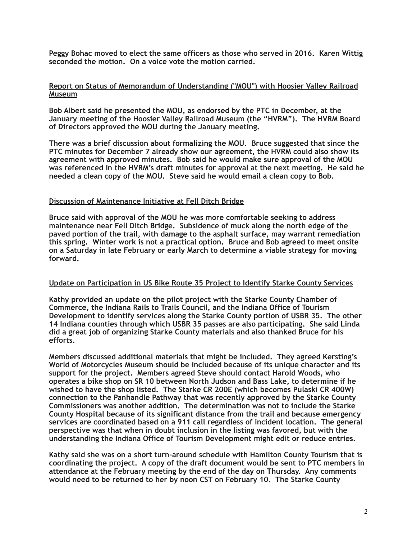**Peggy Bohac moved to elect the same officers as those who served in 2016. Karen Wittig seconded the motion. On a voice vote the motion carried.**

### **Report on Status of Memorandum of Understanding ("MOU") with Hoosier Valley Railroad Museum**

**Bob Albert said he presented the MOU, as endorsed by the PTC in December, at the January meeting of the Hoosier Valley Railroad Museum (the "HVRM"). The HVRM Board of Directors approved the MOU during the January meeting.** 

**There was a brief discussion about formalizing the MOU. Bruce suggested that since the PTC minutes for December 7 already show our agreement, the HVRM could also show its agreement with approved minutes. Bob said he would make sure approval of the MOU was referenced in the HVRM's draft minutes for approval at the next meeting. He said he needed a clean copy of the MOU. Steve said he would email a clean copy to Bob.** 

### **Discussion of Maintenance Initiative at Fell Ditch Bridge**

**Bruce said with approval of the MOU he was more comfortable seeking to address maintenance near Fell Ditch Bridge. Subsidence of muck along the north edge of the paved portion of the trail, with damage to the asphalt surface, may warrant remediation this spring. Winter work is not a practical option. Bruce and Bob agreed to meet onsite on a Saturday in late February or early March to determine a viable strategy for moving forward.** 

### **Update on Participation in US Bike Route 35 Project to Identify Starke County Services**

**Kathy provided an update on the pilot project with the Starke County Chamber of Commerce, the Indiana Rails to Trails Council, and the Indiana Office of Tourism Development to identify services along the Starke County portion of USBR 35. The other 14 Indiana counties through which USBR 35 passes are also participating. She said Linda did a great job of organizing Starke County materials and also thanked Bruce for his efforts.** 

**Members discussed additional materials that might be included. They agreed Kersting's World of Motorcycles Museum should be included because of its unique character and its support for the project. Members agreed Steve should contact Harold Woods, who operates a bike shop on SR 10 between North Judson and Bass Lake, to determine if he wished to have the shop listed. The Starke CR 200E (which becomes Pulaski CR 400W) connection to the Panhandle Pathway that was recently approved by the Starke County Commissioners was another addition. The determination was not to include the Starke County Hospital because of its significant distance from the trail and because emergency services are coordinated based on a 911 call regardless of incident location. The general perspective was that when in doubt inclusion in the listing was favored, but with the understanding the Indiana Office of Tourism Development might edit or reduce entries.** 

**Kathy said she was on a short turn-around schedule with Hamilton County Tourism that is coordinating the project. A copy of the draft document would be sent to PTC members in attendance at the February meeting by the end of the day on Thursday. Any comments would need to be returned to her by noon CST on February 10. The Starke County**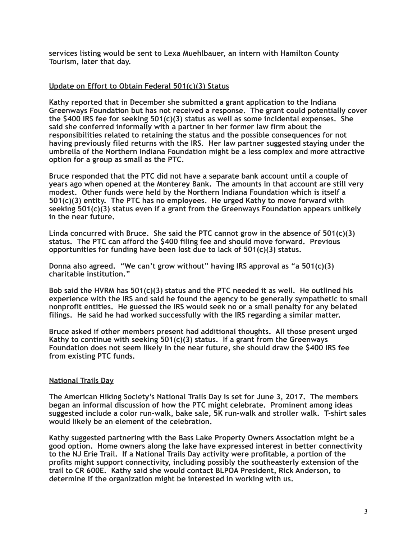**services listing would be sent to Lexa Muehlbauer, an intern with Hamilton County Tourism, later that day.** 

# **Update on Effort to Obtain Federal 501(c)(3) Status**

**Kathy reported that in December she submitted a grant application to the Indiana Greenways Foundation but has not received a response. The grant could potentially cover the \$400 IRS fee for seeking 501(c)(3) status as well as some incidental expenses. She said she conferred informally with a partner in her former law firm about the responsibilities related to retaining the status and the possible consequences for not having previously filed returns with the IRS. Her law partner suggested staying under the umbrella of the Northern Indiana Foundation might be a less complex and more attractive option for a group as small as the PTC.** 

**Bruce responded that the PTC did not have a separate bank account until a couple of years ago when opened at the Monterey Bank. The amounts in that account are still very modest. Other funds were held by the Northern Indiana Foundation which is itself a 501(c)(3) entity. The PTC has no employees. He urged Kathy to move forward with seeking 501(c)(3) status even if a grant from the Greenways Foundation appears unlikely in the near future.** 

**Linda concurred with Bruce. She said the PTC cannot grow in the absence of 501(c)(3) status. The PTC can afford the \$400 filing fee and should move forward. Previous opportunities for funding have been lost due to lack of 501(c)(3) status.** 

**Donna also agreed. "We can't grow without" having IRS approval as "a 501(c)(3) charitable institution."** 

**Bob said the HVRM has 501(c)(3) status and the PTC needed it as well. He outlined his experience with the IRS and said he found the agency to be generally sympathetic to small nonprofit entities. He guessed the IRS would seek no or a small penalty for any belated filings. He said he had worked successfully with the IRS regarding a similar matter.** 

**Bruce asked if other members present had additional thoughts. All those present urged Kathy to continue with seeking 501(c)(3) status. If a grant from the Greenways Foundation does not seem likely in the near future, she should draw the \$400 IRS fee from existing PTC funds.** 

### **National Trails Day**

**The American Hiking Society's National Trails Day is set for June 3, 2017. The members began an informal discussion of how the PTC might celebrate. Prominent among ideas suggested include a color run-walk, bake sale, 5K run-walk and stroller walk. T-shirt sales would likely be an element of the celebration.** 

**Kathy suggested partnering with the Bass Lake Property Owners Association might be a good option. Home owners along the lake have expressed interest in better connectivity to the NJ Erie Trail. If a National Trails Day activity were profitable, a portion of the profits might support connectivity, including possibly the southeasterly extension of the trail to CR 600E. Kathy said she would contact BLPOA President, Rick Anderson, to determine if the organization might be interested in working with us.**